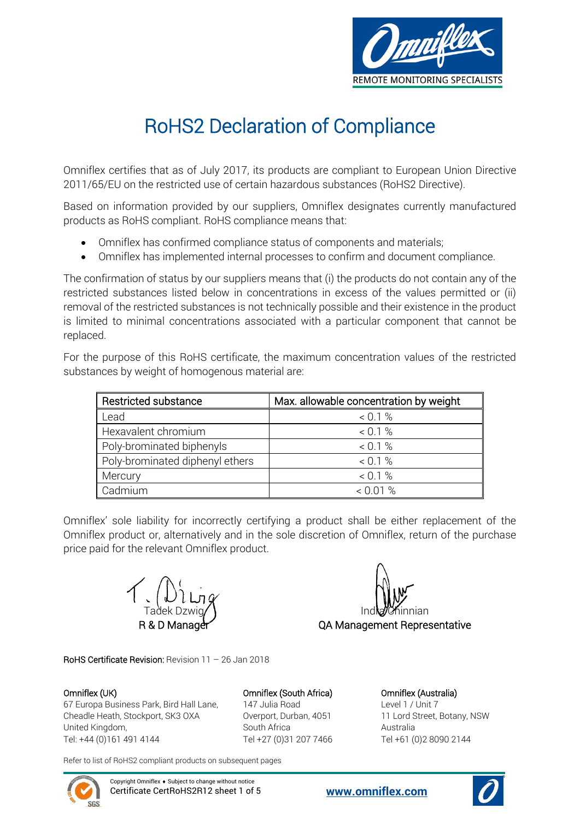

## RoHS2 Declaration of Compliance

Omniflex certifies that as of July 2017, its products are compliant to European Union Directive 2011/65/EU on the restricted use of certain hazardous substances (RoHS2 Directive).

Based on information provided by our suppliers, Omniflex designates currently manufactured products as RoHS compliant. RoHS compliance means that:

- Omniflex has confirmed compliance status of components and materials;
- Omniflex has implemented internal processes to confirm and document compliance.

The confirmation of status by our suppliers means that (i) the products do not contain any of the restricted substances listed below in concentrations in excess of the values permitted or (ii) removal of the restricted substances is not technically possible and their existence in the product is limited to minimal concentrations associated with a particular component that cannot be replaced.

For the purpose of this RoHS certificate, the maximum concentration values of the restricted substances by weight of homogenous material are:

| Restricted substance            | Max. allowable concentration by weight |
|---------------------------------|----------------------------------------|
| Lead                            | $0.1\%$                                |
| Hexavalent chromium             | $0.1\%$                                |
| Poly-brominated biphenyls       | $0.1\%$                                |
| Poly-brominated diphenyl ethers | < 0.1 %                                |
| Mercury                         | $0.1\%$                                |
| Cadmium                         | $0.01\%$                               |

Omniflex' sole liability for incorrectly certifying a product shall be either replacement of the Omniflex product or, alternatively and in the sole discretion of Omniflex, return of the purchase price paid for the relevant Omniflex product.

Tadek Dzwig**/ I**nd**la Ch**innian QA Management Representative

RoHS Certificate Revision: Revision 11 – 26 Jan 2018

67 Europa Business Park, Bird Hall Lane, 197 Julia Road Level 1 / Unit 7 Cheadle Heath, Stockport, SK3 OXA Overport, Durban, 4051 11 Lord Street, Botany, NSW United Kingdom, South Africa Australia Tel: +44 (0)161 491 4144 Tel +27 (0)31 207 7466 Tel +61 (0)2 8090 2144

Omniflex (UK) Omniflex (South Africa) Omniflex (Australia)

Refer to list of RoHS2 compliant products on subsequent pages



Copyright Omniflex  $\bullet$  Subject to change without notice Certificate CertRoHS2R12 sheet 1 of 5 **[www.omniflex.com](http://www.omniflex.com/)**

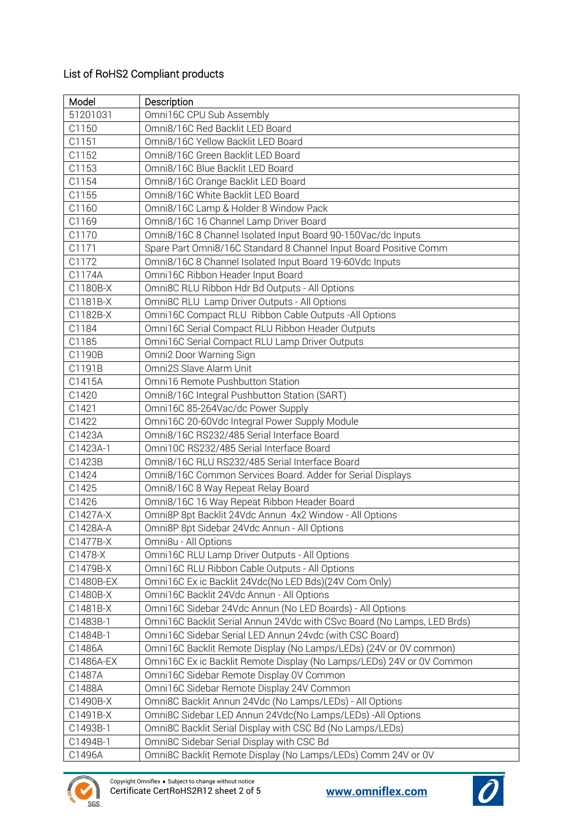## List of RoHS2 Compliant products

| Model     | Description                                                             |
|-----------|-------------------------------------------------------------------------|
| 51201031  | Omni16C CPU Sub Assembly                                                |
| C1150     | Omni8/16C Red Backlit LED Board                                         |
| C1151     | Omni8/16C Yellow Backlit LED Board                                      |
| C1152     | Omni8/16C Green Backlit LED Board                                       |
| C1153     | Omni8/16C Blue Backlit LED Board                                        |
| C1154     | Omni8/16C Orange Backlit LED Board                                      |
| C1155     | Omni8/16C White Backlit LED Board                                       |
| C1160     | Omni8/16C Lamp & Holder 8 Window Pack                                   |
| C1169     | Omni8/16C 16 Channel Lamp Driver Board                                  |
| C1170     | Omni8/16C 8 Channel Isolated Input Board 90-150Vac/dc Inputs            |
| C1171     | Spare Part Omni8/16C Standard 8 Channel Input Board Positive Comm       |
| C1172     | Omni8/16C 8 Channel Isolated Input Board 19-60Vdc Inputs                |
| C1174A    | Omni16C Ribbon Header Input Board                                       |
| C1180B-X  | Omni8C RLU Ribbon Hdr Bd Outputs - All Options                          |
| C1181B-X  | Omni8C RLU Lamp Driver Outputs - All Options                            |
| C1182B-X  | Omni16C Compact RLU Ribbon Cable Outputs - All Options                  |
| C1184     | Omni16C Serial Compact RLU Ribbon Header Outputs                        |
| C1185     | Omni16C Serial Compact RLU Lamp Driver Outputs                          |
| C1190B    | Omni2 Door Warning Sign                                                 |
| C1191B    | Omni2S Slave Alarm Unit                                                 |
| C1415A    | Omni16 Remote Pushbutton Station                                        |
| C1420     | Omni8/16C Integral Pushbutton Station (SART)                            |
| C1421     | Omni16C 85-264Vac/dc Power Supply                                       |
| C1422     | Omni16C 20-60Vdc Integral Power Supply Module                           |
| C1423A    | Omni8/16C RS232/485 Serial Interface Board                              |
| C1423A-1  | Omni10C RS232/485 Serial Interface Board                                |
| C1423B    | Omni8/16C RLU RS232/485 Serial Interface Board                          |
| C1424     | Omni8/16C Common Services Board. Adder for Serial Displays              |
| C1425     | Omni8/16C 8 Way Repeat Relay Board                                      |
| C1426     | Omni8/16C 16 Way Repeat Ribbon Header Board                             |
| C1427A-X  | Omni8P 8pt Backlit 24Vdc Annun 4x2 Window - All Options                 |
| C1428A-A  | Omni8P 8pt Sidebar 24Vdc Annun - All Options                            |
| C1477B-X  | Omni8u - All Options                                                    |
| C1478-X   | Omni16C RLU Lamp Driver Outputs - All Options                           |
| C1479B-X  | Omni16C RLU Ribbon Cable Outputs - All Options                          |
| C1480B-EX | Omni16C Ex ic Backlit 24Vdc(No LED Bds)(24V Com Only)                   |
| C1480B-X  | Omni16C Backlit 24Vdc Annun - All Options                               |
| C1481B-X  | Omni16C Sidebar 24Vdc Annun (No LED Boards) - All Options               |
| C1483B-1  | Omni16C Backlit Serial Annun 24Vdc with CSvc Board (No Lamps, LED Brds) |
| C1484B-1  | Omni16C Sidebar Serial LED Annun 24vdc (with CSC Board)                 |
| C1486A    | Omni16C Backlit Remote Display (No Lamps/LEDs) (24V or 0V common)       |
| C1486A-EX | Omni16C Ex ic Backlit Remote Display (No Lamps/LEDs) 24V or 0V Common   |
| C1487A    | Omni16C Sidebar Remote Display 0V Common                                |
| C1488A    | Omni16C Sidebar Remote Display 24V Common                               |
| C1490B-X  | Omni8C Backlit Annun 24Vdc (No Lamps/LEDs) - All Options                |
| C1491B-X  | Omni8C Sidebar LED Annun 24Vdc(No Lamps/LEDs) - All Options             |
| C1493B-1  | Omni8C Backlit Serial Display with CSC Bd (No Lamps/LEDs)               |
| C1494B-1  | Omni8C Sidebar Serial Display with CSC Bd                               |
| C1496A    | Omni8C Backlit Remote Display (No Lamps/LEDs) Comm 24V or 0V            |



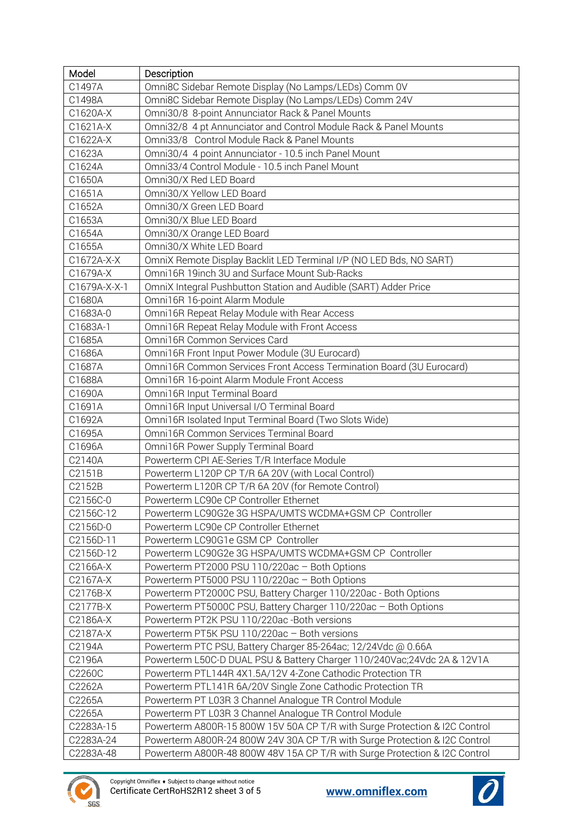| Model                 | Description                                                                                      |
|-----------------------|--------------------------------------------------------------------------------------------------|
| C1497A                | Omni8C Sidebar Remote Display (No Lamps/LEDs) Comm 0V                                            |
| C1498A                | Omni8C Sidebar Remote Display (No Lamps/LEDs) Comm 24V                                           |
| C1620A-X              | Omni30/8 8-point Annunciator Rack & Panel Mounts                                                 |
| C1621A-X              | Omni32/8 4 pt Annunciator and Control Module Rack & Panel Mounts                                 |
| C1622A-X              | Omni33/8 Control Module Rack & Panel Mounts                                                      |
| C1623A                | Omni30/4 4 point Annunciator - 10.5 inch Panel Mount                                             |
| C1624A                | Omni33/4 Control Module - 10.5 inch Panel Mount                                                  |
| C1650A                | Omni30/X Red LED Board                                                                           |
| C1651A                | Omni30/X Yellow LED Board                                                                        |
| C1652A                | Omni30/X Green LED Board                                                                         |
| C1653A                | Omni30/X Blue LED Board                                                                          |
| C1654A                | Omni30/X Orange LED Board                                                                        |
| C1655A                | Omni30/X White LED Board                                                                         |
| C1672A-X-X            | OmniX Remote Display Backlit LED Terminal I/P (NO LED Bds, NO SART)                              |
| C1679A-X              | Omni16R 19inch 3U and Surface Mount Sub-Racks                                                    |
| C1679A-X-X-1          | OmniX Integral Pushbutton Station and Audible (SART) Adder Price                                 |
| C1680A                | Omni16R 16-point Alarm Module                                                                    |
| C1683A-0              | Omni16R Repeat Relay Module with Rear Access                                                     |
| C1683A-1              | Omni16R Repeat Relay Module with Front Access                                                    |
| C1685A                | Omni16R Common Services Card                                                                     |
| C1686A                | Omni16R Front Input Power Module (3U Eurocard)                                                   |
| C1687A                | Omni16R Common Services Front Access Termination Board (3U Eurocard)                             |
| C1688A                | Omni16R 16-point Alarm Module Front Access                                                       |
| C1690A                | Omni16R Input Terminal Board                                                                     |
| C1691A                | Omni16R Input Universal I/O Terminal Board                                                       |
| C1692A                | Omni16R Isolated Input Terminal Board (Two Slots Wide)                                           |
| C1695A                | Omni16R Common Services Terminal Board                                                           |
| C1696A                | Omni16R Power Supply Terminal Board                                                              |
| C2140A                | Powerterm CPI AE-Series T/R Interface Module                                                     |
| C2151B                | Powerterm L120P CP T/R 6A 20V (with Local Control)                                               |
| C2152B                | Powerterm L120R CP T/R 6A 20V (for Remote Control)                                               |
| C2156C-0              | Powerterm LC90e CP Controller Ethernet<br>Powerterm LC90G2e 3G HSPA/UMTS WCDMA+GSM CP Controller |
| C2156C-12<br>C2156D-0 | Powerterm LC90e CP Controller Ethernet                                                           |
| C2156D-11             | Powerterm LC90G1e GSM CP Controller                                                              |
| C2156D-12             | Powerterm LC90G2e 3G HSPA/UMTS WCDMA+GSM CP Controller                                           |
| C2166A-X              | Powerterm PT2000 PSU 110/220ac - Both Options                                                    |
| C2167A-X              | Powerterm PT5000 PSU 110/220ac - Both Options                                                    |
| C2176B-X              | Powerterm PT2000C PSU, Battery Charger 110/220ac - Both Options                                  |
| C2177B-X              | Powerterm PT5000C PSU, Battery Charger 110/220ac - Both Options                                  |
| C2186A-X              | Powerterm PT2K PSU 110/220ac -Both versions                                                      |
| C2187A-X              | Powerterm PT5K PSU 110/220ac - Both versions                                                     |
| C2194A                | Powerterm PTC PSU, Battery Charger 85-264ac; 12/24Vdc @ 0.66A                                    |
| C2196A                | Powerterm L50C-D DUAL PSU & Battery Charger 110/240Vac;24Vdc 2A & 12V1A                          |
| C2260C                | Powerterm PTL144R 4X1.5A/12V 4-Zone Cathodic Protection TR                                       |
| C2262A                | Powerterm PTL141R 6A/20V Single Zone Cathodic Protection TR                                      |
| C2265A                | Powerterm PT L03R 3 Channel Analogue TR Control Module                                           |
| C2265A                | Powerterm PT L03R 3 Channel Analogue TR Control Module                                           |
| C2283A-15             | Powerterm A800R-15 800W 15V 50A CP T/R with Surge Protection & I2C Control                       |
| C2283A-24             | Powerterm A800R-24 800W 24V 30A CP T/R with Surge Protection & I2C Control                       |
| C2283A-48             | Powerterm A800R-48 800W 48V 15A CP T/R with Surge Protection & I2C Control                       |



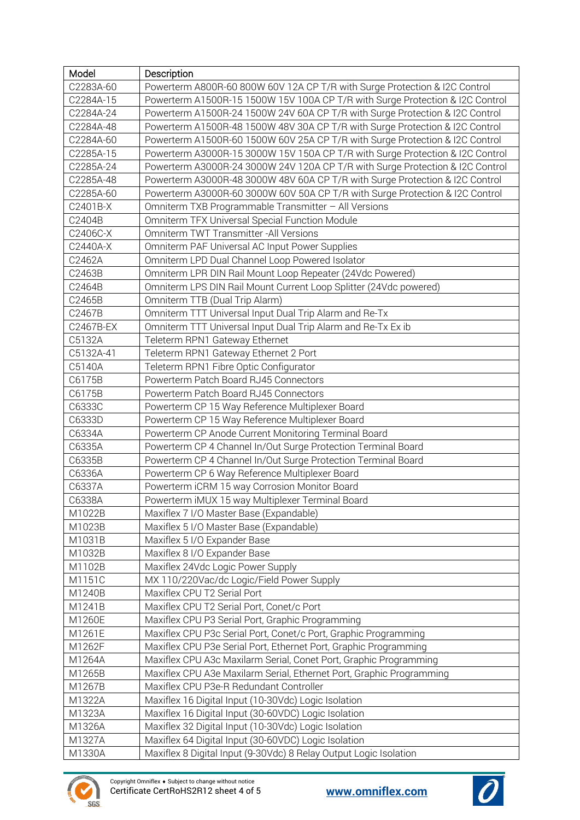| Model     | Description                                                                   |
|-----------|-------------------------------------------------------------------------------|
| C2283A-60 | Powerterm A800R-60 800W 60V 12A CP T/R with Surge Protection & I2C Control    |
| C2284A-15 | Powerterm A1500R-15 1500W 15V 100A CP T/R with Surge Protection & I2C Control |
| C2284A-24 | Powerterm A1500R-24 1500W 24V 60A CP T/R with Surge Protection & I2C Control  |
| C2284A-48 | Powerterm A1500R-48 1500W 48V 30A CP T/R with Surge Protection & I2C Control  |
| C2284A-60 | Powerterm A1500R-60 1500W 60V 25A CP T/R with Surge Protection & I2C Control  |
| C2285A-15 | Powerterm A3000R-15 3000W 15V 150A CP T/R with Surge Protection & I2C Control |
| C2285A-24 | Powerterm A3000R-24 3000W 24V 120A CP T/R with Surge Protection & I2C Control |
| C2285A-48 | Powerterm A3000R-48 3000W 48V 60A CP T/R with Surge Protection & I2C Control  |
| C2285A-60 | Powerterm A3000R-60 3000W 60V 50A CP T/R with Surge Protection & I2C Control  |
| C2401B-X  | Omniterm TXB Programmable Transmitter - All Versions                          |
| C2404B    | Omniterm TFX Universal Special Function Module                                |
| C2406C-X  | Omniterm TWT Transmitter - All Versions                                       |
| C2440A-X  | Omniterm PAF Universal AC Input Power Supplies                                |
| C2462A    | Omniterm LPD Dual Channel Loop Powered Isolator                               |
| C2463B    | Omniterm LPR DIN Rail Mount Loop Repeater (24Vdc Powered)                     |
| C2464B    | Omniterm LPS DIN Rail Mount Current Loop Splitter (24Vdc powered)             |
| C2465B    | Omniterm TTB (Dual Trip Alarm)                                                |
| C2467B    | Omniterm TTT Universal Input Dual Trip Alarm and Re-Tx                        |
| C2467B-EX | Omniterm TTT Universal Input Dual Trip Alarm and Re-Tx Ex ib                  |
| C5132A    | Teleterm RPN1 Gateway Ethernet                                                |
| C5132A-41 | Teleterm RPN1 Gateway Ethernet 2 Port                                         |
| C5140A    | Teleterm RPN1 Fibre Optic Configurator                                        |
| C6175B    | Powerterm Patch Board RJ45 Connectors                                         |
| C6175B    | Powerterm Patch Board RJ45 Connectors                                         |
| C6333C    | Powerterm CP 15 Way Reference Multiplexer Board                               |
| C6333D    | Powerterm CP 15 Way Reference Multiplexer Board                               |
| C6334A    | Powerterm CP Anode Current Monitoring Terminal Board                          |
| C6335A    | Powerterm CP 4 Channel In/Out Surge Protection Terminal Board                 |
| C6335B    | Powerterm CP 4 Channel In/Out Surge Protection Terminal Board                 |
| C6336A    | Powerterm CP 6 Way Reference Multiplexer Board                                |
| C6337A    | Powerterm iCRM 15 way Corrosion Monitor Board                                 |
| C6338A    | Powerterm iMUX 15 way Multiplexer Terminal Board                              |
| M1022B    | Maxiflex 7 I/O Master Base (Expandable)                                       |
| M1023B    | Maxiflex 5 I/O Master Base (Expandable)                                       |
| M1031B    | Maxiflex 5 I/O Expander Base                                                  |
| M1032B    | Maxiflex 8 I/O Expander Base                                                  |
| M1102B    | Maxiflex 24Vdc Logic Power Supply                                             |
| M1151C    | MX 110/220Vac/dc Logic/Field Power Supply                                     |
| M1240B    | Maxiflex CPU T2 Serial Port                                                   |
| M1241B    | Maxiflex CPU T2 Serial Port, Conet/c Port                                     |
| M1260E    | Maxiflex CPU P3 Serial Port, Graphic Programming                              |
| M1261E    | Maxiflex CPU P3c Serial Port, Conet/c Port, Graphic Programming               |
| M1262F    | Maxiflex CPU P3e Serial Port, Ethernet Port, Graphic Programming              |
| M1264A    | Maxiflex CPU A3c Maxilarm Serial, Conet Port, Graphic Programming             |
| M1265B    | Maxiflex CPU A3e Maxilarm Serial, Ethernet Port, Graphic Programming          |
| M1267B    | Maxiflex CPU P3e-R Redundant Controller                                       |
| M1322A    | Maxiflex 16 Digital Input (10-30Vdc) Logic Isolation                          |
| M1323A    | Maxiflex 16 Digital Input (30-60VDC) Logic Isolation                          |
| M1326A    | Maxiflex 32 Digital Input (10-30Vdc) Logic Isolation                          |
| M1327A    | Maxiflex 64 Digital Input (30-60VDC) Logic Isolation                          |
| M1330A    | Maxiflex 8 Digital Input (9-30Vdc) 8 Relay Output Logic Isolation             |